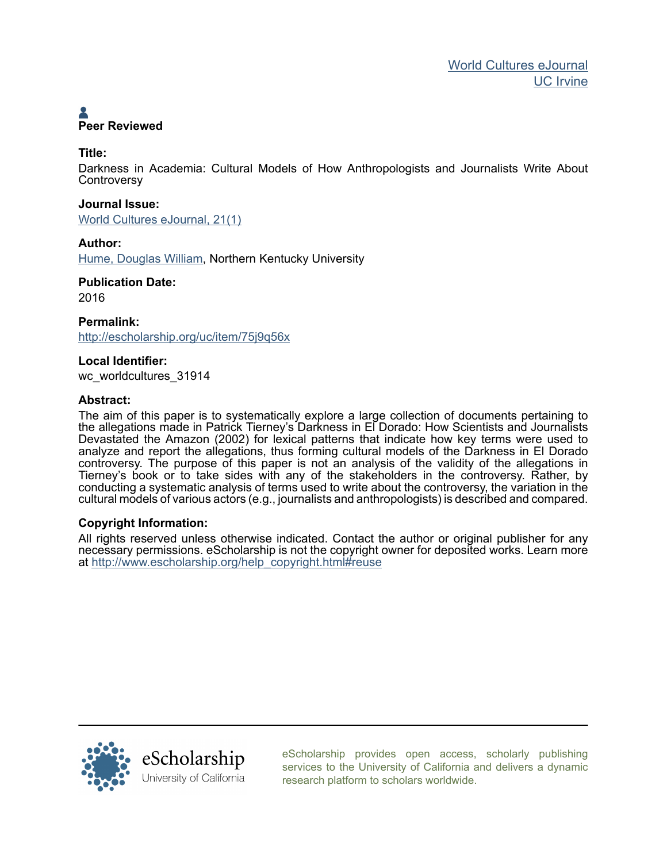# **Peer Reviewed**

## **Title:**

Darkness in Academia: Cultural Models of How Anthropologists and Journalists Write About **Controversy** 

# **Journal Issue:** [World Cultures eJournal, 21\(1\)](http://escholarship.org/uc/wc_worldcultures?volume=21;issue=1)

**Author:**

[Hume, Douglas William](http://escholarship.org/uc/search?creator=Hume%2C%20Douglas%20William), Northern Kentucky University

#### **Publication Date:** 2016

**Permalink:** <http://escholarship.org/uc/item/75j9q56x>

# **Local Identifier:**

wc\_worldcultures\_31914

# **Abstract:**

The aim of this paper is to systematically explore a large collection of documents pertaining to the allegations made in Patrick Tierney's Darkness in El Dorado: How Scientists and Journalists Devastated the Amazon (2002) for lexical patterns that indicate how key terms were used to analyze and report the allegations, thus forming cultural models of the Darkness in El Dorado controversy. The purpose of this paper is not an analysis of the validity of the allegations in Tierney's book or to take sides with any of the stakeholders in the controversy. Rather, by conducting a systematic analysis of terms used to write about the controversy, the variation in the cultural models of various actors (e.g., journalists and anthropologists) is described and compared.

## **Copyright Information:**

All rights reserved unless otherwise indicated. Contact the author or original publisher for any necessary permissions. eScholarship is not the copyright owner for deposited works. Learn more at [http://www.escholarship.org/help\\_copyright.html#reuse](http://www.escholarship.org/help_copyright.html#reuse)



[eScholarship provides open access, scholarly publishing](http://escholarship.org) [services to the University of California and delivers a dynamic](http://escholarship.org) [research platform to scholars worldwide.](http://escholarship.org)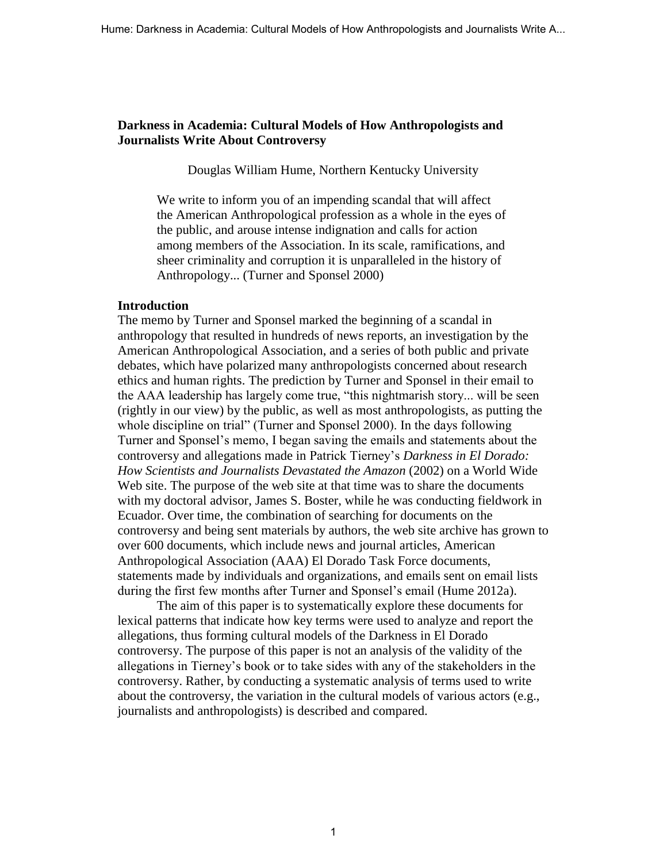## **Darkness in Academia: Cultural Models of How Anthropologists and Journalists Write About Controversy**

Douglas William Hume, Northern Kentucky University

We write to inform you of an impending scandal that will affect the American Anthropological profession as a whole in the eyes of the public, and arouse intense indignation and calls for action among members of the Association. In its scale, ramifications, and sheer criminality and corruption it is unparalleled in the history of Anthropology... (Turner and Sponsel 2000)

## **Introduction**

The memo by Turner and Sponsel marked the beginning of a scandal in anthropology that resulted in hundreds of news reports, an investigation by the American Anthropological Association, and a series of both public and private debates, which have polarized many anthropologists concerned about research ethics and human rights. The prediction by Turner and Sponsel in their email to the AAA leadership has largely come true, "this nightmarish story... will be seen (rightly in our view) by the public, as well as most anthropologists, as putting the whole discipline on trial" (Turner and Sponsel 2000). In the days following Turner and Sponsel's memo, I began saving the emails and statements about the controversy and allegations made in Patrick Tierney's *Darkness in El Dorado: How Scientists and Journalists Devastated the Amazon* (2002) on a World Wide Web site. The purpose of the web site at that time was to share the documents with my doctoral advisor, James S. Boster, while he was conducting fieldwork in Ecuador. Over time, the combination of searching for documents on the controversy and being sent materials by authors, the web site archive has grown to over 600 documents, which include news and journal articles, American Anthropological Association (AAA) El Dorado Task Force documents, statements made by individuals and organizations, and emails sent on email lists during the first few months after Turner and Sponsel's email (Hume 2012a).

The aim of this paper is to systematically explore these documents for lexical patterns that indicate how key terms were used to analyze and report the allegations, thus forming cultural models of the Darkness in El Dorado controversy. The purpose of this paper is not an analysis of the validity of the allegations in Tierney's book or to take sides with any of the stakeholders in the controversy. Rather, by conducting a systematic analysis of terms used to write about the controversy, the variation in the cultural models of various actors (e.g., journalists and anthropologists) is described and compared.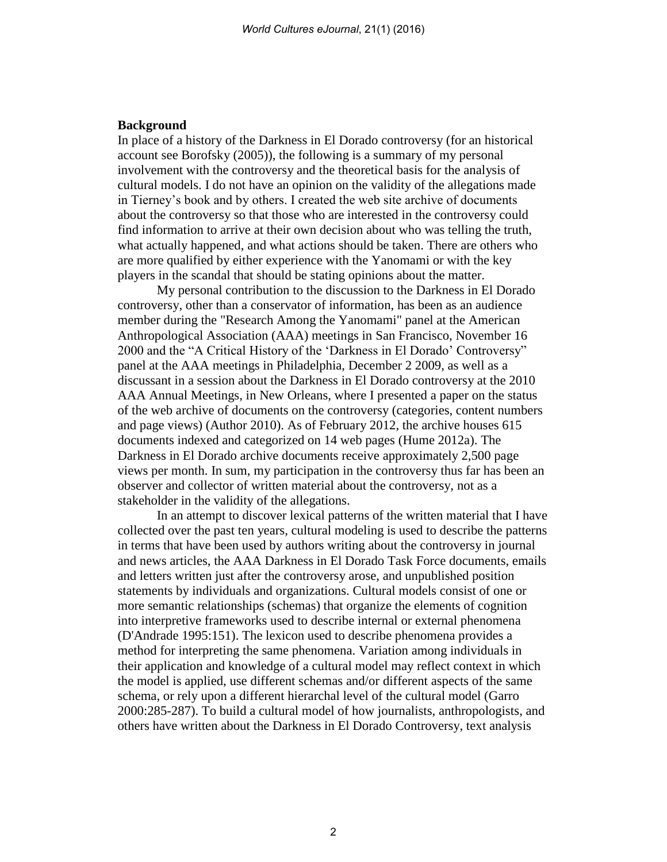## **Background**

In place of a history of the Darkness in El Dorado controversy (for an historical account see Borofsky (2005)), the following is a summary of my personal involvement with the controversy and the theoretical basis for the analysis of cultural models. I do not have an opinion on the validity of the allegations made in Tierney's book and by others. I created the web site archive of documents about the controversy so that those who are interested in the controversy could find information to arrive at their own decision about who was telling the truth, what actually happened, and what actions should be taken. There are others who are more qualified by either experience with the Yanomami or with the key players in the scandal that should be stating opinions about the matter.

My personal contribution to the discussion to the Darkness in El Dorado controversy, other than a conservator of information, has been as an audience member during the "Research Among the Yanomami" panel at the American Anthropological Association (AAA) meetings in San Francisco, November 16 2000 and the "A Critical History of the 'Darkness in El Dorado' Controversy" panel at the AAA meetings in Philadelphia, December 2 2009, as well as a discussant in a session about the Darkness in El Dorado controversy at the 2010 AAA Annual Meetings, in New Orleans, where I presented a paper on the status of the web archive of documents on the controversy (categories, content numbers and page views) (Author 2010). As of February 2012, the archive houses 615 documents indexed and categorized on 14 web pages (Hume 2012a). The Darkness in El Dorado archive documents receive approximately 2,500 page views per month. In sum, my participation in the controversy thus far has been an observer and collector of written material about the controversy, not as a stakeholder in the validity of the allegations.

In an attempt to discover lexical patterns of the written material that I have collected over the past ten years, cultural modeling is used to describe the patterns in terms that have been used by authors writing about the controversy in journal and news articles, the AAA Darkness in El Dorado Task Force documents, emails and letters written just after the controversy arose, and unpublished position statements by individuals and organizations. Cultural models consist of one or more semantic relationships (schemas) that organize the elements of cognition into interpretive frameworks used to describe internal or external phenomena (D'Andrade 1995:151). The lexicon used to describe phenomena provides a method for interpreting the same phenomena. Variation among individuals in their application and knowledge of a cultural model may reflect context in which the model is applied, use different schemas and/or different aspects of the same schema, or rely upon a different hierarchal level of the cultural model (Garro 2000:285-287). To build a cultural model of how journalists, anthropologists, and others have written about the Darkness in El Dorado Controversy, text analysis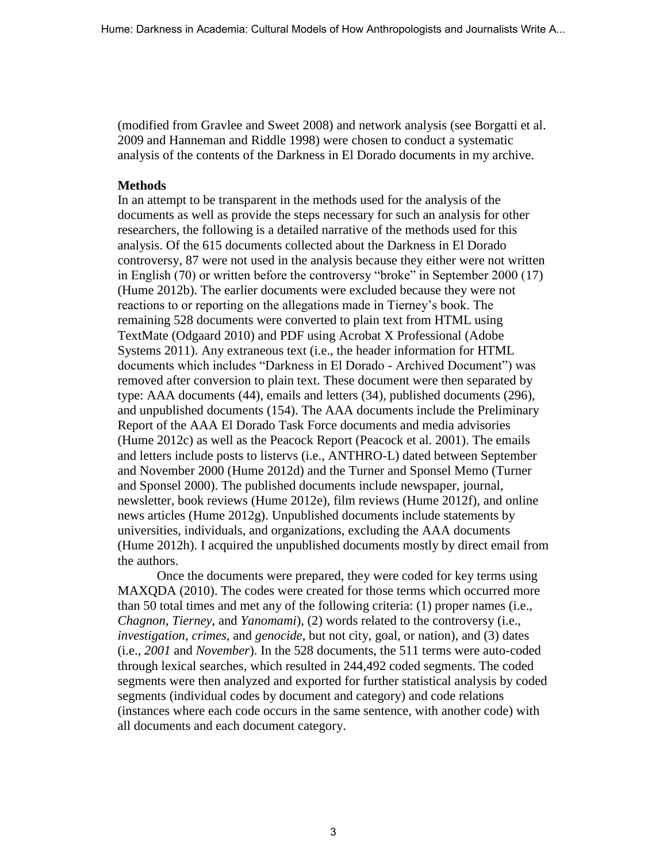(modified from Gravlee and Sweet 2008) and network analysis (see Borgatti et al. 2009 and Hanneman and Riddle 1998) were chosen to conduct a systematic analysis of the contents of the Darkness in El Dorado documents in my archive.

## **Methods**

In an attempt to be transparent in the methods used for the analysis of the documents as well as provide the steps necessary for such an analysis for other researchers, the following is a detailed narrative of the methods used for this analysis. Of the 615 documents collected about the Darkness in El Dorado controversy, 87 were not used in the analysis because they either were not written in English (70) or written before the controversy "broke" in September 2000 (17) (Hume 2012b). The earlier documents were excluded because they were not reactions to or reporting on the allegations made in Tierney's book. The remaining 528 documents were converted to plain text from HTML using TextMate (Odgaard 2010) and PDF using Acrobat X Professional (Adobe Systems 2011). Any extraneous text (i.e., the header information for HTML documents which includes "Darkness in El Dorado - Archived Document") was removed after conversion to plain text. These document were then separated by type: AAA documents (44), emails and letters (34), published documents (296), and unpublished documents (154). The AAA documents include the Preliminary Report of the AAA El Dorado Task Force documents and media advisories (Hume 2012c) as well as the Peacock Report (Peacock et al. 2001). The emails and letters include posts to listervs (i.e., ANTHRO-L) dated between September and November 2000 (Hume 2012d) and the Turner and Sponsel Memo (Turner and Sponsel 2000). The published documents include newspaper, journal, newsletter, book reviews (Hume 2012e), film reviews (Hume 2012f), and online news articles (Hume 2012g). Unpublished documents include statements by universities, individuals, and organizations, excluding the AAA documents (Hume 2012h). I acquired the unpublished documents mostly by direct email from the authors.

Once the documents were prepared, they were coded for key terms using MAXQDA (2010). The codes were created for those terms which occurred more than 50 total times and met any of the following criteria: (1) proper names (i.e., *Chagnon*, *Tierney*, and *Yanomami*), (2) words related to the controversy (i.e., *investigation*, *crimes*, and *genocide*, but not city, goal, or nation), and (3) dates (i.e., *2001* and *November*). In the 528 documents, the 511 terms were auto-coded through lexical searches, which resulted in 244,492 coded segments. The coded segments were then analyzed and exported for further statistical analysis by coded segments (individual codes by document and category) and code relations (instances where each code occurs in the same sentence, with another code) with all documents and each document category.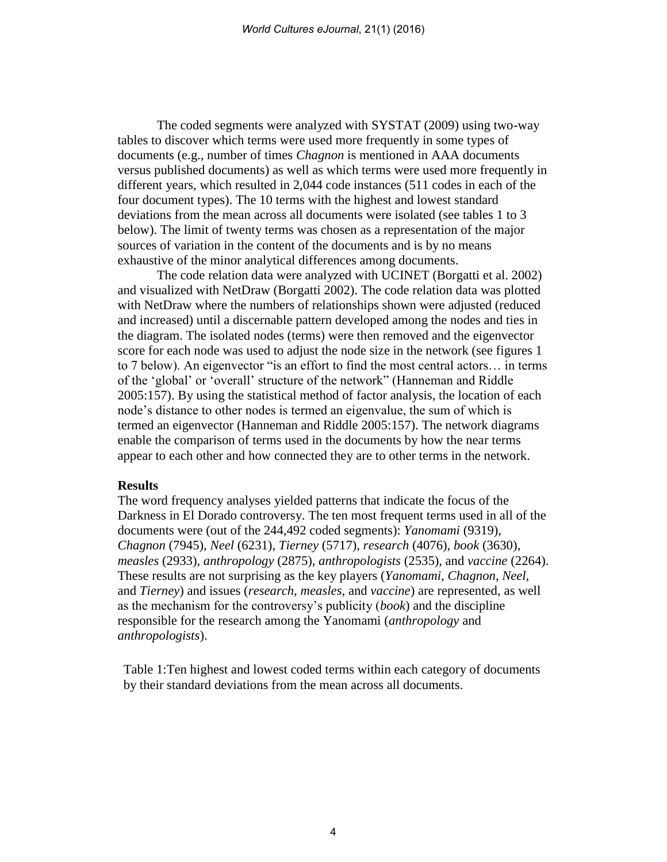The coded segments were analyzed with SYSTAT (2009) using two-way tables to discover which terms were used more frequently in some types of documents (e.g., number of times *Chagnon* is mentioned in AAA documents versus published documents) as well as which terms were used more frequently in different years, which resulted in 2,044 code instances (511 codes in each of the four document types). The 10 terms with the highest and lowest standard deviations from the mean across all documents were isolated (see tables 1 to 3 below). The limit of twenty terms was chosen as a representation of the major sources of variation in the content of the documents and is by no means exhaustive of the minor analytical differences among documents.

The code relation data were analyzed with UCINET (Borgatti et al. 2002) and visualized with NetDraw (Borgatti 2002). The code relation data was plotted with NetDraw where the numbers of relationships shown were adjusted (reduced and increased) until a discernable pattern developed among the nodes and ties in the diagram. The isolated nodes (terms) were then removed and the eigenvector score for each node was used to adjust the node size in the network (see figures 1 to 7 below). An eigenvector "is an effort to find the most central actors… in terms of the 'global' or 'overall' structure of the network" (Hanneman and Riddle 2005:157). By using the statistical method of factor analysis, the location of each node's distance to other nodes is termed an eigenvalue, the sum of which is termed an eigenvector (Hanneman and Riddle 2005:157). The network diagrams enable the comparison of terms used in the documents by how the near terms appear to each other and how connected they are to other terms in the network.

#### **Results**

The word frequency analyses yielded patterns that indicate the focus of the Darkness in El Dorado controversy. The ten most frequent terms used in all of the documents were (out of the 244,492 coded segments): *Yanomami* (9319), *Chagnon* (7945), *Neel* (6231), *Tierney* (5717), *research* (4076), *book* (3630), *measles* (2933), *anthropology* (2875), *anthropologists* (2535), and *vaccine* (2264). These results are not surprising as the key players (*Yanomami*, *Chagnon*, *Neel*, and *Tierney*) and issues (*research*, *measles*, and *vaccine*) are represented, as well as the mechanism for the controversy's publicity (*book*) and the discipline responsible for the research among the Yanomami (*anthropology* and *anthropologists*).

Table 1:Ten highest and lowest coded terms within each category of documents by their standard deviations from the mean across all documents.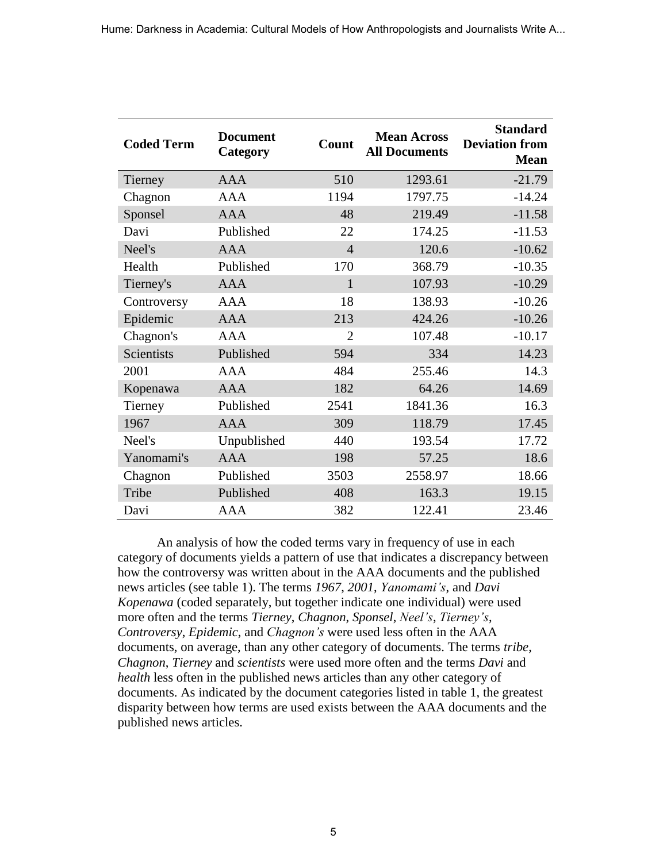| <b>Coded Term</b> | <b>Document</b><br>Category | Count          | <b>Mean Across</b><br><b>All Documents</b> | <b>Standard</b><br><b>Deviation from</b><br><b>Mean</b> |
|-------------------|-----------------------------|----------------|--------------------------------------------|---------------------------------------------------------|
| Tierney           | <b>AAA</b>                  | 510            | 1293.61                                    | $-21.79$                                                |
| Chagnon           | <b>AAA</b>                  | 1194           | 1797.75                                    | $-14.24$                                                |
| Sponsel           | <b>AAA</b>                  | 48             | 219.49                                     | $-11.58$                                                |
| Davi              | Published                   | 22             | 174.25                                     | $-11.53$                                                |
| Neel's            | <b>AAA</b>                  | $\overline{4}$ | 120.6                                      | $-10.62$                                                |
| Health            | Published                   | 170            | 368.79                                     | $-10.35$                                                |
| Tierney's         | <b>AAA</b>                  | 1              | 107.93                                     | $-10.29$                                                |
| Controversy       | <b>AAA</b>                  | 18             | 138.93                                     | $-10.26$                                                |
| Epidemic          | <b>AAA</b>                  | 213            | 424.26                                     | $-10.26$                                                |
| Chagnon's         | <b>AAA</b>                  | $\overline{2}$ | 107.48                                     | $-10.17$                                                |
| Scientists        | Published                   | 594            | 334                                        | 14.23                                                   |
| 2001              | <b>AAA</b>                  | 484            | 255.46                                     | 14.3                                                    |
| Kopenawa          | <b>AAA</b>                  | 182            | 64.26                                      | 14.69                                                   |
| Tierney           | Published                   | 2541           | 1841.36                                    | 16.3                                                    |
| 1967              | <b>AAA</b>                  | 309            | 118.79                                     | 17.45                                                   |
| Neel's            | Unpublished                 | 440            | 193.54                                     | 17.72                                                   |
| Yanomami's        | <b>AAA</b>                  | 198            | 57.25                                      | 18.6                                                    |
| Chagnon           | Published                   | 3503           | 2558.97                                    | 18.66                                                   |
| Tribe             | Published                   | 408            | 163.3                                      | 19.15                                                   |
| Davi              | AAA                         | 382            | 122.41                                     | 23.46                                                   |

An analysis of how the coded terms vary in frequency of use in each category of documents yields a pattern of use that indicates a discrepancy between how the controversy was written about in the AAA documents and the published news articles (see table 1). The terms *1967*, *2001*, *Yanomami's*, and *Davi Kopenawa* (coded separately, but together indicate one individual) were used more often and the terms *Tierney*, *Chagnon*, *Sponsel*, *Neel's*, *Tierney's*, *Controversy*, *Epidemic*, and *Chagnon's* were used less often in the AAA documents, on average, than any other category of documents. The terms *tribe*, *Chagnon*, *Tierney* and *scientists* were used more often and the terms *Davi* and *health* less often in the published news articles than any other category of documents. As indicated by the document categories listed in table 1, the greatest disparity between how terms are used exists between the AAA documents and the published news articles.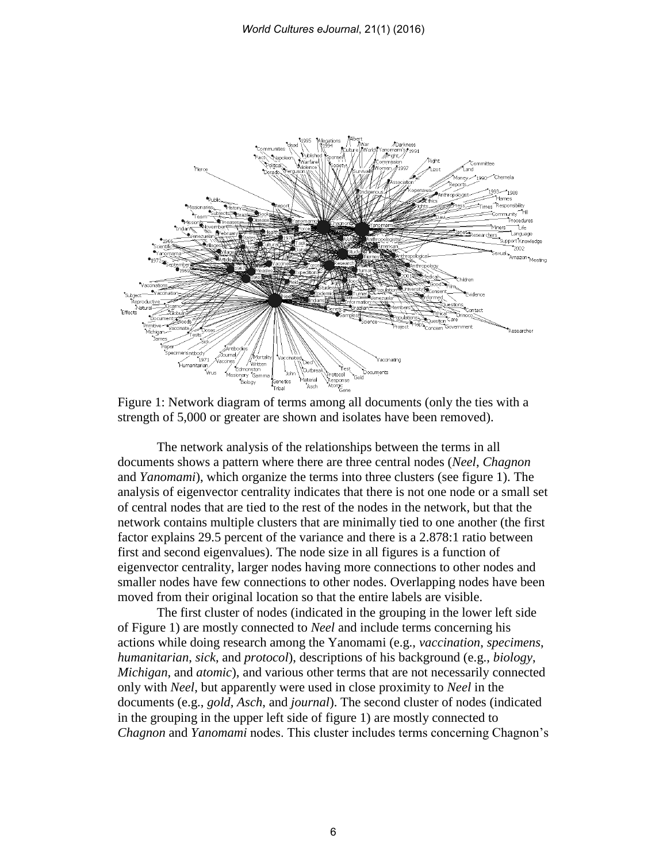

Figure 1: Network diagram of terms among all documents (only the ties with a strength of 5,000 or greater are shown and isolates have been removed).

The network analysis of the relationships between the terms in all documents shows a pattern where there are three central nodes (*Neel*, *Chagnon* and *Yanomami*), which organize the terms into three clusters (see figure 1). The analysis of eigenvector centrality indicates that there is not one node or a small set of central nodes that are tied to the rest of the nodes in the network, but that the network contains multiple clusters that are minimally tied to one another (the first factor explains 29.5 percent of the variance and there is a 2.878:1 ratio between first and second eigenvalues). The node size in all figures is a function of eigenvector centrality, larger nodes having more connections to other nodes and smaller nodes have few connections to other nodes. Overlapping nodes have been moved from their original location so that the entire labels are visible.

The first cluster of nodes (indicated in the grouping in the lower left side of Figure 1) are mostly connected to *Neel* and include terms concerning his actions while doing research among the Yanomami (e.g., *vaccination*, *specimens*, *humanitarian*, *sick*, and *protocol*), descriptions of his background (e.g., *biology*, *Michigan*, and *atomic*), and various other terms that are not necessarily connected only with *Neel*, but apparently were used in close proximity to *Neel* in the documents (e.g., *gold*, *Asch*, and *journal*). The second cluster of nodes (indicated in the grouping in the upper left side of figure 1) are mostly connected to *Chagnon* and *Yanomami* nodes. This cluster includes terms concerning Chagnon's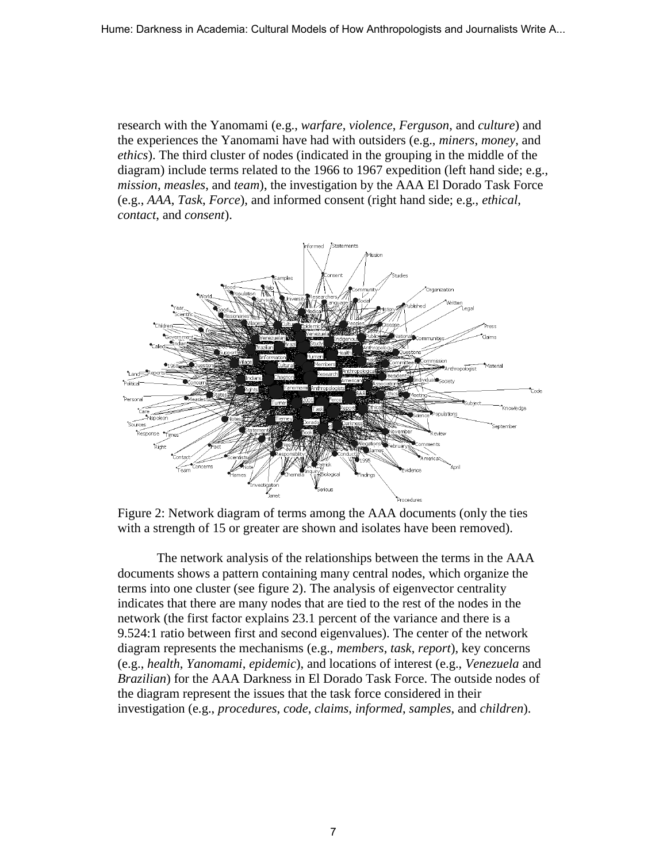research with the Yanomami (e.g., *warfare*, *violence*, *Ferguson*, and *culture*) and the experiences the Yanomami have had with outsiders (e.g., *miners*, *money*, and *ethics*). The third cluster of nodes (indicated in the grouping in the middle of the diagram) include terms related to the 1966 to 1967 expedition (left hand side; e.g., *mission*, *measles*, and *team*), the investigation by the AAA El Dorado Task Force (e.g., *AAA*, *Task*, *Force*), and informed consent (right hand side; e.g., *ethical*, *contact*, and *consent*).



Figure 2: Network diagram of terms among the AAA documents (only the ties with a strength of 15 or greater are shown and isolates have been removed).

The network analysis of the relationships between the terms in the AAA documents shows a pattern containing many central nodes, which organize the terms into one cluster (see figure 2). The analysis of eigenvector centrality indicates that there are many nodes that are tied to the rest of the nodes in the network (the first factor explains 23.1 percent of the variance and there is a 9.524:1 ratio between first and second eigenvalues). The center of the network diagram represents the mechanisms (e.g., *members*, *task*, *report*), key concerns (e.g., *health*, *Yanomami*, *epidemic*), and locations of interest (e.g., *Venezuela* and *Brazilian*) for the AAA Darkness in El Dorado Task Force. The outside nodes of the diagram represent the issues that the task force considered in their investigation (e.g., *procedures*, *code*, *claims*, *informed*, *samples*, and *children*).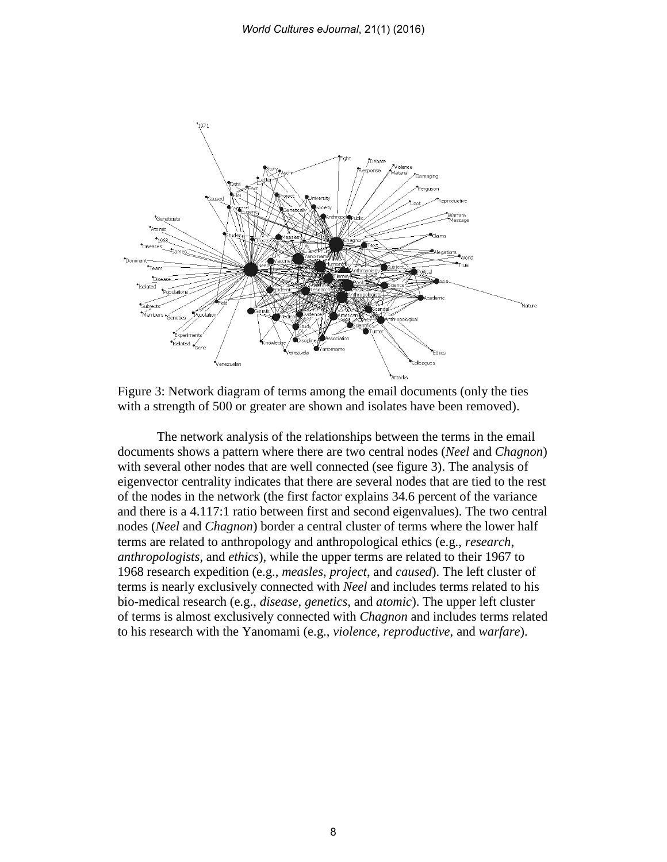

Figure 3: Network diagram of terms among the email documents (only the ties with a strength of 500 or greater are shown and isolates have been removed).

The network analysis of the relationships between the terms in the email documents shows a pattern where there are two central nodes (*Neel* and *Chagnon*) with several other nodes that are well connected (see figure 3). The analysis of eigenvector centrality indicates that there are several nodes that are tied to the rest of the nodes in the network (the first factor explains 34.6 percent of the variance and there is a 4.117:1 ratio between first and second eigenvalues). The two central nodes (*Neel* and *Chagnon*) border a central cluster of terms where the lower half terms are related to anthropology and anthropological ethics (e.g., *research*, *anthropologists*, and *ethics*), while the upper terms are related to their 1967 to 1968 research expedition (e.g., *measles*, *project*, and *caused*). The left cluster of terms is nearly exclusively connected with *Neel* and includes terms related to his bio-medical research (e.g., *disease*, *genetics*, and *atomic*). The upper left cluster of terms is almost exclusively connected with *Chagnon* and includes terms related to his research with the Yanomami (e.g., *violence*, *reproductive*, and *warfare*).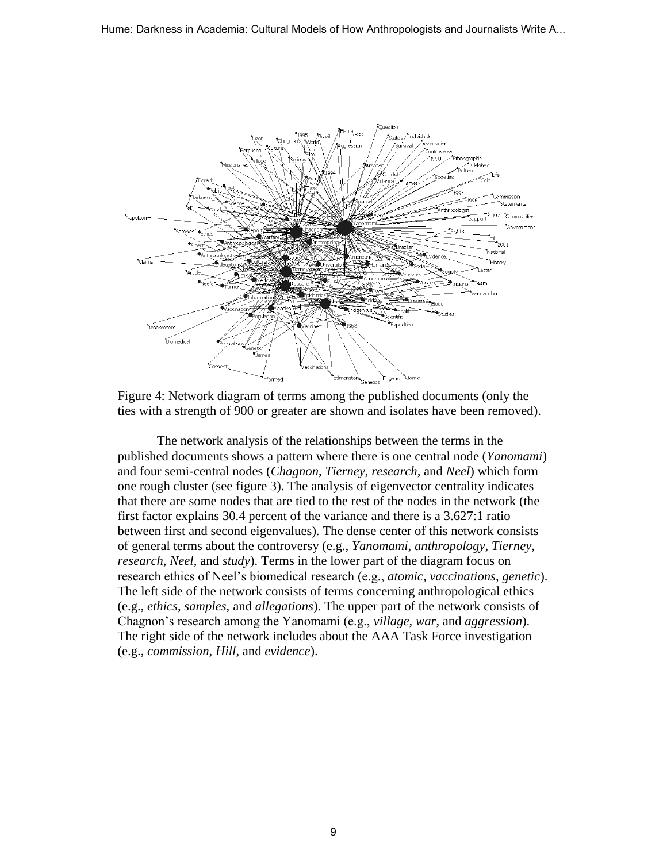

Figure 4: Network diagram of terms among the published documents (only the ties with a strength of 900 or greater are shown and isolates have been removed).

The network analysis of the relationships between the terms in the published documents shows a pattern where there is one central node (*Yanomami*) and four semi-central nodes (*Chagnon*, *Tierney*, *research*, and *Neel*) which form one rough cluster (see figure 3). The analysis of eigenvector centrality indicates that there are some nodes that are tied to the rest of the nodes in the network (the first factor explains 30.4 percent of the variance and there is a 3.627:1 ratio between first and second eigenvalues). The dense center of this network consists of general terms about the controversy (e.g., *Yanomami*, *anthropology*, *Tierney*, *research*, *Neel*, and *study*). Terms in the lower part of the diagram focus on research ethics of Neel's biomedical research (e.g., *atomic*, *vaccinations*, *genetic*). The left side of the network consists of terms concerning anthropological ethics (e.g., *ethics*, *samples*, and *allegations*). The upper part of the network consists of Chagnon's research among the Yanomami (e.g., *village*, *war*, and *aggression*). The right side of the network includes about the AAA Task Force investigation (e.g., *commission*, *Hill*, and *evidence*).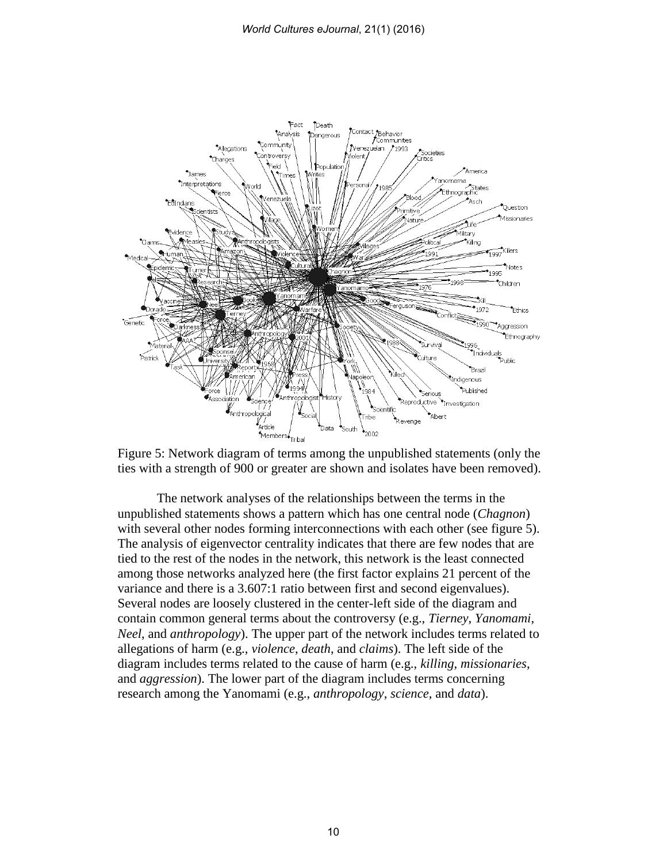

Figure 5: Network diagram of terms among the unpublished statements (only the ties with a strength of 900 or greater are shown and isolates have been removed).

The network analyses of the relationships between the terms in the unpublished statements shows a pattern which has one central node (*Chagnon*) with several other nodes forming interconnections with each other (see figure 5). The analysis of eigenvector centrality indicates that there are few nodes that are tied to the rest of the nodes in the network, this network is the least connected among those networks analyzed here (the first factor explains 21 percent of the variance and there is a 3.607:1 ratio between first and second eigenvalues). Several nodes are loosely clustered in the center-left side of the diagram and contain common general terms about the controversy (e.g., *Tierney*, *Yanomami*, *Neel*, and *anthropology*). The upper part of the network includes terms related to allegations of harm (e.g., *violence*, *death*, and *claims*). The left side of the diagram includes terms related to the cause of harm (e.g., *killing*, *missionaries*, and *aggression*). The lower part of the diagram includes terms concerning research among the Yanomami (e.g., *anthropology*, *science*, and *data*).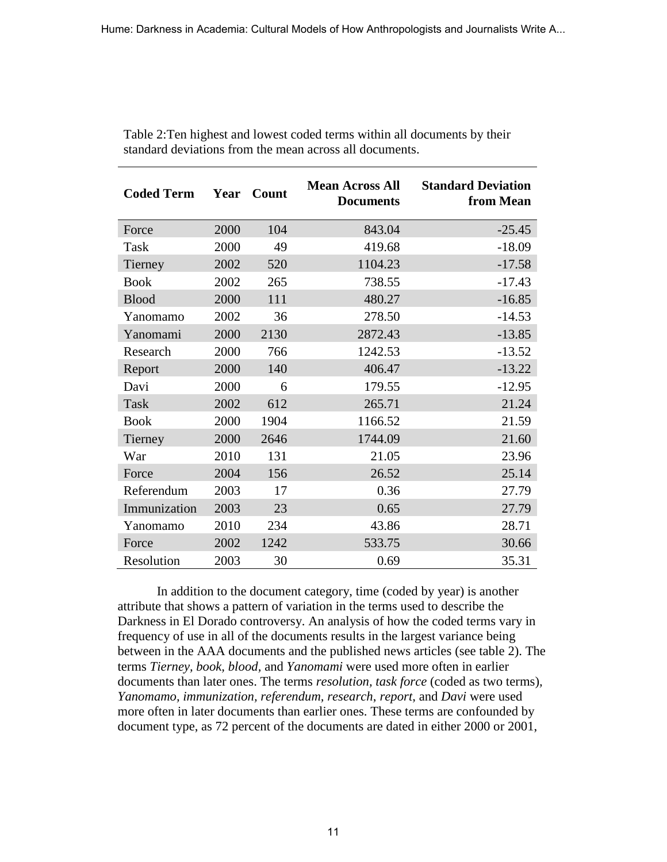| <b>Coded Term</b> | Year | Count | <b>Mean Across All</b><br><b>Documents</b> | <b>Standard Deviation</b><br>from Mean |
|-------------------|------|-------|--------------------------------------------|----------------------------------------|
| Force             | 2000 | 104   | 843.04                                     | $-25.45$                               |
| Task              | 2000 | 49    | 419.68                                     | $-18.09$                               |
| Tierney           | 2002 | 520   | 1104.23                                    | $-17.58$                               |
| <b>Book</b>       | 2002 | 265   | 738.55                                     | $-17.43$                               |
| <b>Blood</b>      | 2000 | 111   | 480.27                                     | $-16.85$                               |
| Yanomamo          | 2002 | 36    | 278.50                                     | $-14.53$                               |
| Yanomami          | 2000 | 2130  | 2872.43                                    | $-13.85$                               |
| Research          | 2000 | 766   | 1242.53                                    | $-13.52$                               |
| Report            | 2000 | 140   | 406.47                                     | $-13.22$                               |
| Davi              | 2000 | 6     | 179.55                                     | $-12.95$                               |
| Task              | 2002 | 612   | 265.71                                     | 21.24                                  |
| <b>Book</b>       | 2000 | 1904  | 1166.52                                    | 21.59                                  |
| Tierney           | 2000 | 2646  | 1744.09                                    | 21.60                                  |
| War               | 2010 | 131   | 21.05                                      | 23.96                                  |
| Force             | 2004 | 156   | 26.52                                      | 25.14                                  |
| Referendum        | 2003 | 17    | 0.36                                       | 27.79                                  |
| Immunization      | 2003 | 23    | 0.65                                       | 27.79                                  |
| Yanomamo          | 2010 | 234   | 43.86                                      | 28.71                                  |
| Force             | 2002 | 1242  | 533.75                                     | 30.66                                  |
| Resolution        | 2003 | 30    | 0.69                                       | 35.31                                  |

Table 2:Ten highest and lowest coded terms within all documents by their standard deviations from the mean across all documents.

In addition to the document category, time (coded by year) is another attribute that shows a pattern of variation in the terms used to describe the Darkness in El Dorado controversy. An analysis of how the coded terms vary in frequency of use in all of the documents results in the largest variance being between in the AAA documents and the published news articles (see table 2). The terms *Tierney, book, blood,* and *Yanomami* were used more often in earlier documents than later ones. The terms *resolution, task force* (coded as two terms)*, Yanomamo, immunization, referendum, research*, *report*, and *Davi* were used more often in later documents than earlier ones. These terms are confounded by document type, as 72 percent of the documents are dated in either 2000 or 2001,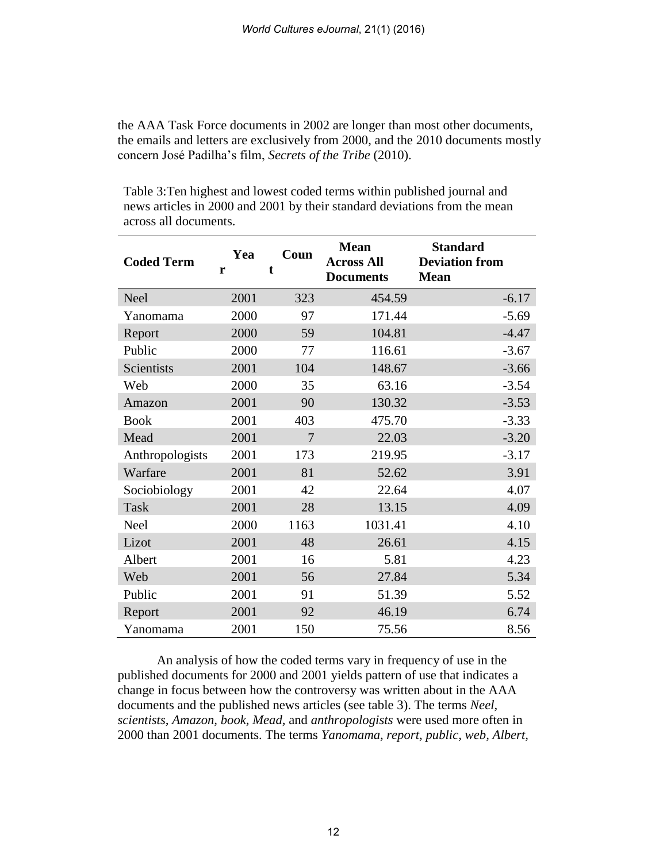the AAA Task Force documents in 2002 are longer than most other documents, the emails and letters are exclusively from 2000, and the 2010 documents mostly concern José Padilha's film, *Secrets of the Tribe* (2010).

Table 3:Ten highest and lowest coded terms within published journal and news articles in 2000 and 2001 by their standard deviations from the mean across all documents.

| <b>Coded Term</b> | Yea<br>r | Coun<br>t      | <b>Mean</b><br><b>Across All</b><br><b>Documents</b> | <b>Standard</b><br><b>Deviation from</b><br><b>Mean</b> |
|-------------------|----------|----------------|------------------------------------------------------|---------------------------------------------------------|
| <b>Neel</b>       | 2001     | 323            | 454.59                                               | $-6.17$                                                 |
| Yanomama          | 2000     | 97             | 171.44                                               | $-5.69$                                                 |
| Report            | 2000     | 59             | 104.81                                               | $-4.47$                                                 |
| Public            | 2000     | 77             | 116.61                                               | $-3.67$                                                 |
| Scientists        | 2001     | 104            | 148.67                                               | $-3.66$                                                 |
| Web               | 2000     | 35             | 63.16                                                | $-3.54$                                                 |
| Amazon            | 2001     | 90             | 130.32                                               | $-3.53$                                                 |
| <b>Book</b>       | 2001     | 403            | 475.70                                               | $-3.33$                                                 |
| Mead              | 2001     | $\overline{7}$ | 22.03                                                | $-3.20$                                                 |
| Anthropologists   | 2001     | 173            | 219.95                                               | $-3.17$                                                 |
| Warfare           | 2001     | 81             | 52.62                                                | 3.91                                                    |
| Sociobiology      | 2001     | 42             | 22.64                                                | 4.07                                                    |
| <b>Task</b>       | 2001     | 28             | 13.15                                                | 4.09                                                    |
| Neel              | 2000     | 1163           | 1031.41                                              | 4.10                                                    |
| Lizot             | 2001     | 48             | 26.61                                                | 4.15                                                    |
| Albert            | 2001     | 16             | 5.81                                                 | 4.23                                                    |
| Web               | 2001     | 56             | 27.84                                                | 5.34                                                    |
| Public            | 2001     | 91             | 51.39                                                | 5.52                                                    |
| Report            | 2001     | 92             | 46.19                                                | 6.74                                                    |
| Yanomama          | 2001     | 150            | 75.56                                                | 8.56                                                    |

An analysis of how the coded terms vary in frequency of use in the published documents for 2000 and 2001 yields pattern of use that indicates a change in focus between how the controversy was written about in the AAA documents and the published news articles (see table 3). The terms *Neel, scientists, Amazon, book, Mead,* and *anthropologists* were used more often in 2000 than 2001 documents. The terms *Yanomama, report, public, web, Albert,*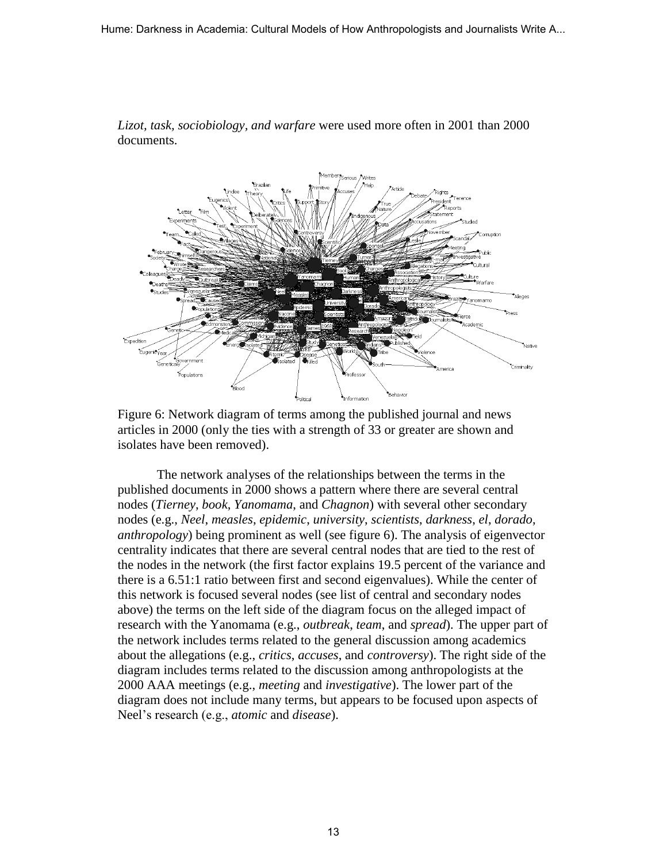

*Lizot, task, sociobiology, and warfare* were used more often in 2001 than 2000 documents.

Figure 6: Network diagram of terms among the published journal and news articles in 2000 (only the ties with a strength of 33 or greater are shown and isolates have been removed).

The network analyses of the relationships between the terms in the published documents in 2000 shows a pattern where there are several central nodes (*Tierney*, *book*, *Yanomama*, and *Chagnon*) with several other secondary nodes (e.g., *Neel*, *measles*, *epidemic*, *university*, *scientists*, *darkness*, *el*, *dorado*, *anthropology*) being prominent as well (see figure 6). The analysis of eigenvector centrality indicates that there are several central nodes that are tied to the rest of the nodes in the network (the first factor explains 19.5 percent of the variance and there is a 6.51:1 ratio between first and second eigenvalues). While the center of this network is focused several nodes (see list of central and secondary nodes above) the terms on the left side of the diagram focus on the alleged impact of research with the Yanomama (e.g., *outbreak*, *team*, and *spread*). The upper part of the network includes terms related to the general discussion among academics about the allegations (e.g., *critics*, *accuses*, and *controversy*). The right side of the diagram includes terms related to the discussion among anthropologists at the 2000 AAA meetings (e.g., *meeting* and *investigative*). The lower part of the diagram does not include many terms, but appears to be focused upon aspects of Neel's research (e.g., *atomic* and *disease*).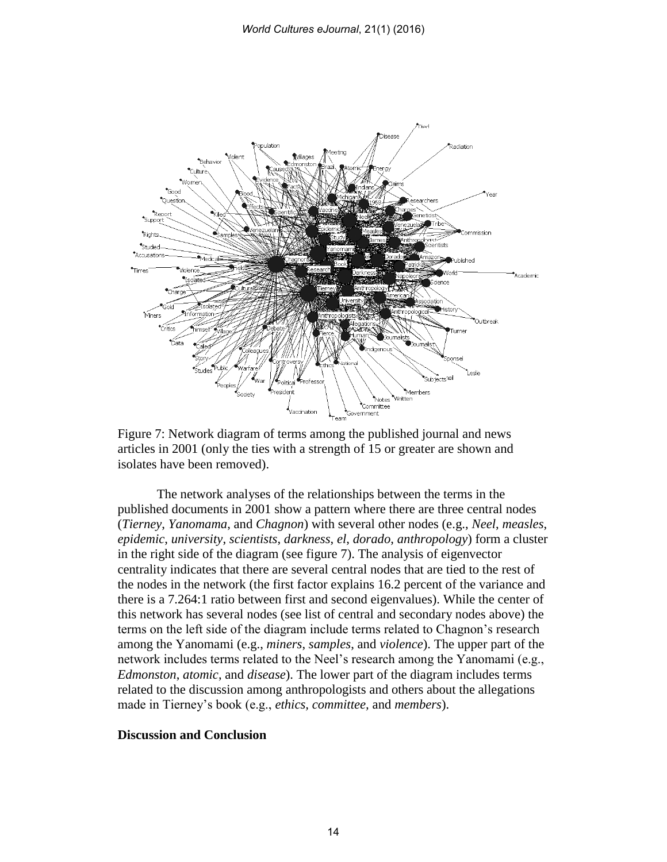

Figure 7: Network diagram of terms among the published journal and news articles in 2001 (only the ties with a strength of 15 or greater are shown and isolates have been removed).

The network analyses of the relationships between the terms in the published documents in 2001 show a pattern where there are three central nodes (*Tierney*, *Yanomama*, and *Chagnon*) with several other nodes (e.g., *Neel*, *measles*, *epidemic*, *university*, *scientists*, *darkness*, *el*, *dorado*, *anthropology*) form a cluster in the right side of the diagram (see figure 7). The analysis of eigenvector centrality indicates that there are several central nodes that are tied to the rest of the nodes in the network (the first factor explains 16.2 percent of the variance and there is a 7.264:1 ratio between first and second eigenvalues). While the center of this network has several nodes (see list of central and secondary nodes above) the terms on the left side of the diagram include terms related to Chagnon's research among the Yanomami (e.g., *miners*, *samples*, and *violence*). The upper part of the network includes terms related to the Neel's research among the Yanomami (e.g., *Edmonston*, *atomic*, and *disease*). The lower part of the diagram includes terms related to the discussion among anthropologists and others about the allegations made in Tierney's book (e.g., *ethics, committee,* and *members*).

#### **Discussion and Conclusion**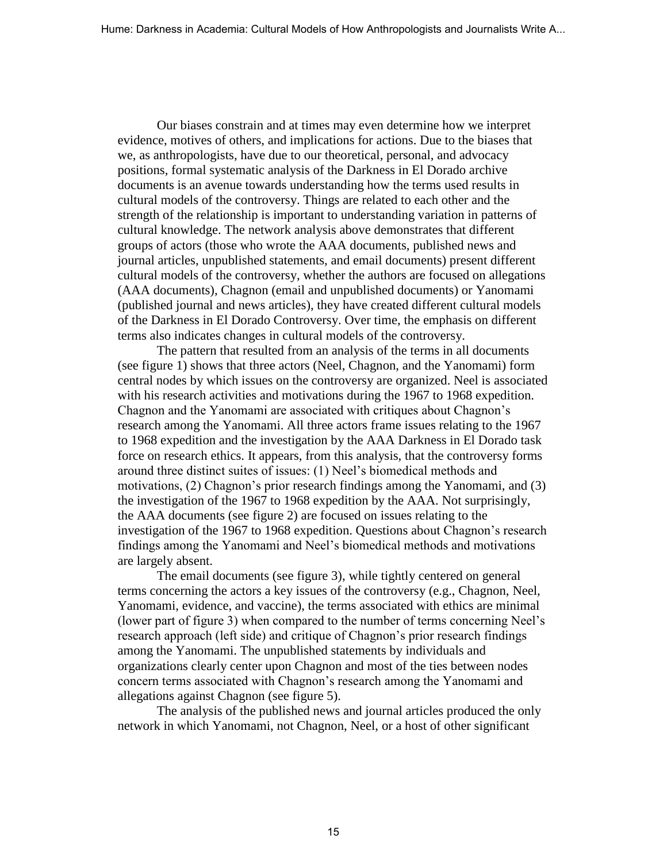Our biases constrain and at times may even determine how we interpret evidence, motives of others, and implications for actions. Due to the biases that we, as anthropologists, have due to our theoretical, personal, and advocacy positions, formal systematic analysis of the Darkness in El Dorado archive documents is an avenue towards understanding how the terms used results in cultural models of the controversy. Things are related to each other and the strength of the relationship is important to understanding variation in patterns of cultural knowledge. The network analysis above demonstrates that different groups of actors (those who wrote the AAA documents, published news and journal articles, unpublished statements, and email documents) present different cultural models of the controversy, whether the authors are focused on allegations (AAA documents), Chagnon (email and unpublished documents) or Yanomami (published journal and news articles), they have created different cultural models of the Darkness in El Dorado Controversy. Over time, the emphasis on different terms also indicates changes in cultural models of the controversy.

The pattern that resulted from an analysis of the terms in all documents (see figure 1) shows that three actors (Neel, Chagnon, and the Yanomami) form central nodes by which issues on the controversy are organized. Neel is associated with his research activities and motivations during the 1967 to 1968 expedition. Chagnon and the Yanomami are associated with critiques about Chagnon's research among the Yanomami. All three actors frame issues relating to the 1967 to 1968 expedition and the investigation by the AAA Darkness in El Dorado task force on research ethics. It appears, from this analysis, that the controversy forms around three distinct suites of issues: (1) Neel's biomedical methods and motivations, (2) Chagnon's prior research findings among the Yanomami, and (3) the investigation of the 1967 to 1968 expedition by the AAA. Not surprisingly, the AAA documents (see figure 2) are focused on issues relating to the investigation of the 1967 to 1968 expedition. Questions about Chagnon's research findings among the Yanomami and Neel's biomedical methods and motivations are largely absent.

The email documents (see figure 3), while tightly centered on general terms concerning the actors a key issues of the controversy (e.g., Chagnon, Neel, Yanomami, evidence, and vaccine), the terms associated with ethics are minimal (lower part of figure 3) when compared to the number of terms concerning Neel's research approach (left side) and critique of Chagnon's prior research findings among the Yanomami. The unpublished statements by individuals and organizations clearly center upon Chagnon and most of the ties between nodes concern terms associated with Chagnon's research among the Yanomami and allegations against Chagnon (see figure 5).

The analysis of the published news and journal articles produced the only network in which Yanomami, not Chagnon, Neel, or a host of other significant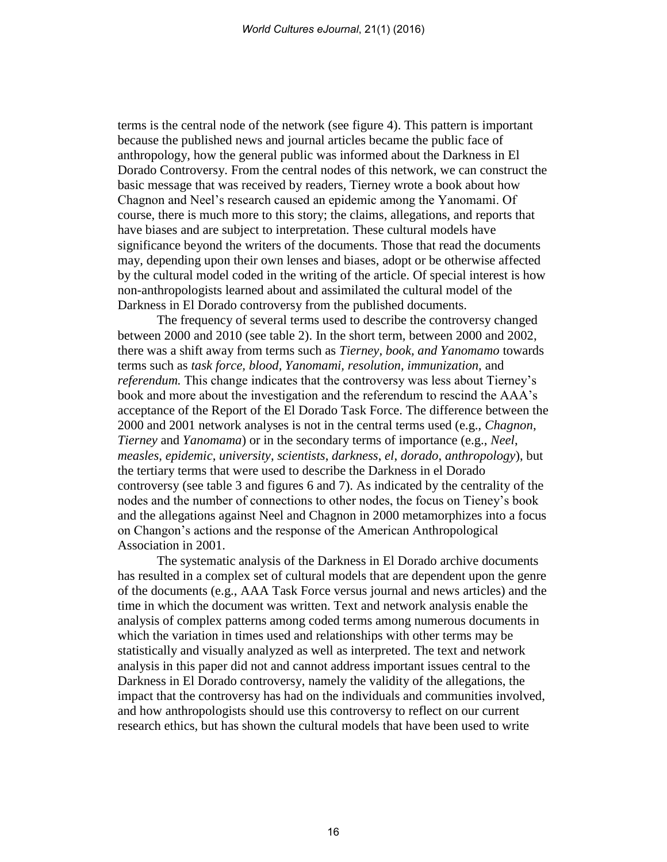terms is the central node of the network (see figure 4). This pattern is important because the published news and journal articles became the public face of anthropology, how the general public was informed about the Darkness in El Dorado Controversy. From the central nodes of this network, we can construct the basic message that was received by readers, Tierney wrote a book about how Chagnon and Neel's research caused an epidemic among the Yanomami. Of course, there is much more to this story; the claims, allegations, and reports that have biases and are subject to interpretation. These cultural models have significance beyond the writers of the documents. Those that read the documents may, depending upon their own lenses and biases, adopt or be otherwise affected by the cultural model coded in the writing of the article. Of special interest is how non-anthropologists learned about and assimilated the cultural model of the Darkness in El Dorado controversy from the published documents.

The frequency of several terms used to describe the controversy changed between 2000 and 2010 (see table 2). In the short term, between 2000 and 2002, there was a shift away from terms such as *Tierney, book, and Yanomamo* towards terms such as *task force, blood, Yanomami, resolution, immunization,* and *referendum.* This change indicates that the controversy was less about Tierney's book and more about the investigation and the referendum to rescind the AAA's acceptance of the Report of the El Dorado Task Force. The difference between the 2000 and 2001 network analyses is not in the central terms used (e.g., *Chagnon*, *Tierney* and *Yanomama*) or in the secondary terms of importance (e.g., *Neel*, *measles*, *epidemic*, *university*, *scientists*, *darkness*, *el*, *dorado*, *anthropology*), but the tertiary terms that were used to describe the Darkness in el Dorado controversy (see table 3 and figures 6 and 7). As indicated by the centrality of the nodes and the number of connections to other nodes, the focus on Tieney's book and the allegations against Neel and Chagnon in 2000 metamorphizes into a focus on Changon's actions and the response of the American Anthropological Association in 2001.

The systematic analysis of the Darkness in El Dorado archive documents has resulted in a complex set of cultural models that are dependent upon the genre of the documents (e.g., AAA Task Force versus journal and news articles) and the time in which the document was written. Text and network analysis enable the analysis of complex patterns among coded terms among numerous documents in which the variation in times used and relationships with other terms may be statistically and visually analyzed as well as interpreted. The text and network analysis in this paper did not and cannot address important issues central to the Darkness in El Dorado controversy, namely the validity of the allegations, the impact that the controversy has had on the individuals and communities involved, and how anthropologists should use this controversy to reflect on our current research ethics, but has shown the cultural models that have been used to write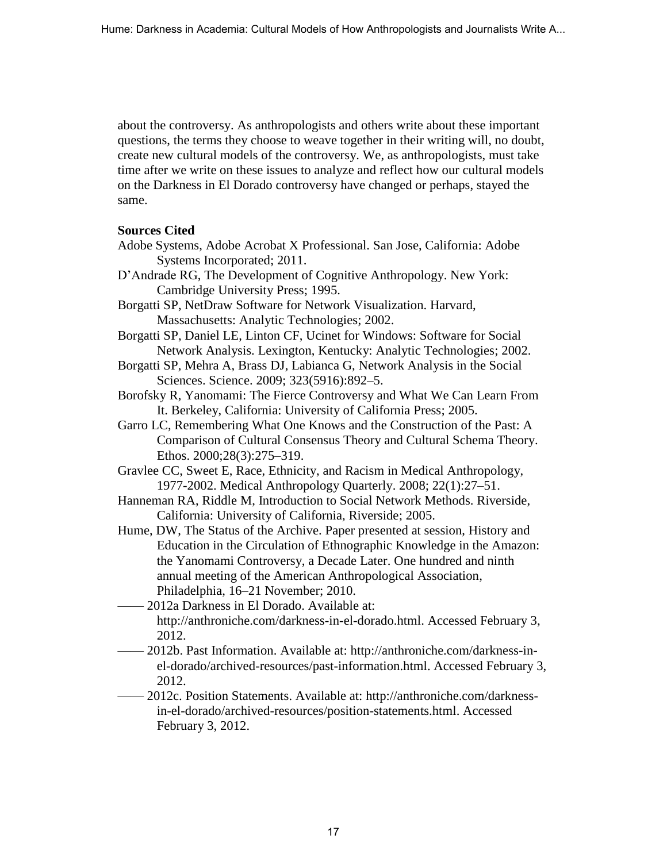about the controversy. As anthropologists and others write about these important questions, the terms they choose to weave together in their writing will, no doubt, create new cultural models of the controversy. We, as anthropologists, must take time after we write on these issues to analyze and reflect how our cultural models on the Darkness in El Dorado controversy have changed or perhaps, stayed the same.

## **Sources Cited**

- Adobe Systems, Adobe Acrobat X Professional. San Jose, California: Adobe Systems Incorporated; 2011.
- D'Andrade RG, The Development of Cognitive Anthropology. New York: Cambridge University Press; 1995.
- Borgatti SP, NetDraw Software for Network Visualization. Harvard, Massachusetts: Analytic Technologies; 2002.
- Borgatti SP, Daniel LE, Linton CF, Ucinet for Windows: Software for Social Network Analysis. Lexington, Kentucky: Analytic Technologies; 2002.
- Borgatti SP, Mehra A, Brass DJ, Labianca G, Network Analysis in the Social Sciences. Science. 2009; 323(5916):892–5.
- Borofsky R, Yanomami: The Fierce Controversy and What We Can Learn From It. Berkeley, California: University of California Press; 2005.
- Garro LC, Remembering What One Knows and the Construction of the Past: A Comparison of Cultural Consensus Theory and Cultural Schema Theory. Ethos. 2000;28(3):275–319.
- Gravlee CC, Sweet E, Race, Ethnicity, and Racism in Medical Anthropology, 1977-2002. Medical Anthropology Quarterly. 2008; 22(1):27–51.
- Hanneman RA, Riddle M, Introduction to Social Network Methods. Riverside, California: University of California, Riverside; 2005.
- Hume, DW, The Status of the Archive. Paper presented at session, History and Education in the Circulation of Ethnographic Knowledge in the Amazon: the Yanomami Controversy, a Decade Later. One hundred and ninth annual meeting of the American Anthropological Association, Philadelphia, 16–21 November; 2010.
- —— 2012a Darkness in El Dorado. Available at: http://anthroniche.com/darkness-in-el-dorado.html. Accessed February 3, 2012.
- —— 2012b. Past Information. Available at: http://anthroniche.com/darkness-inel-dorado/archived-resources/past-information.html. Accessed February 3, 2012.
- —— 2012c. Position Statements. Available at: http://anthroniche.com/darknessin-el-dorado/archived-resources/position-statements.html. Accessed February 3, 2012.